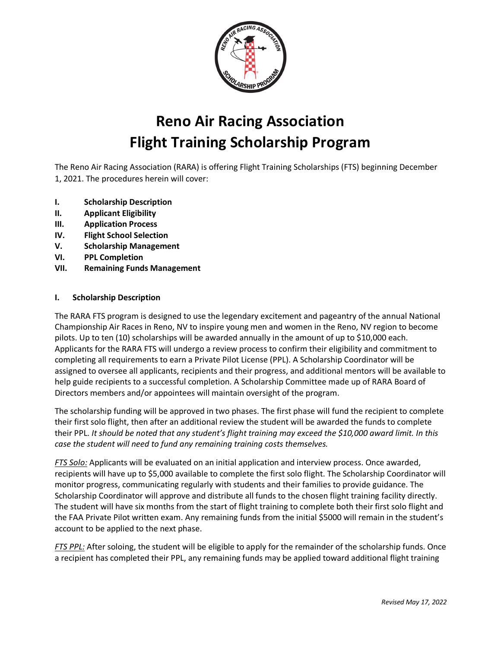

# **Reno Air Racing Association Flight Training Scholarship Program**

The Reno Air Racing Association (RARA) is offering Flight Training Scholarships (FTS) beginning December 1, 2021. The procedures herein will cover:

- **I. Scholarship Description**
- **II. Applicant Eligibility**
- **III. Application Process**
- **IV. Flight School Selection**
- **V. Scholarship Management**
- **VI. PPL Completion**
- **VII. Remaining Funds Management**

#### **I. Scholarship Description**

The RARA FTS program is designed to use the legendary excitement and pageantry of the annual National Championship Air Races in Reno, NV to inspire young men and women in the Reno, NV region to become pilots. Up to ten (10) scholarships will be awarded annually in the amount of up to \$10,000 each. Applicants for the RARA FTS will undergo a review process to confirm their eligibility and commitment to completing all requirements to earn a Private Pilot License (PPL). A Scholarship Coordinator will be assigned to oversee all applicants, recipients and their progress, and additional mentors will be available to help guide recipients to a successful completion. A Scholarship Committee made up of RARA Board of Directors members and/or appointees will maintain oversight of the program.

The scholarship funding will be approved in two phases. The first phase will fund the recipient to complete their first solo flight, then after an additional review the student will be awarded the funds to complete their PPL. *It should be noted that any student's flight training may exceed the \$10,000 award limit. In this case the student will need to fund any remaining training costs themselves.*

*FTS Solo:* Applicants will be evaluated on an initial application and interview process. Once awarded, recipients will have up to \$5,000 available to complete the first solo flight. The Scholarship Coordinator will monitor progress, communicating regularly with students and their families to provide guidance. The Scholarship Coordinator will approve and distribute all funds to the chosen flight training facility directly. The student will have six months from the start of flight training to complete both their first solo flight and the FAA Private Pilot written exam. Any remaining funds from the initial \$5000 will remain in the student's account to be applied to the next phase.

*FTS PPL:* After soloing, the student will be eligible to apply for the remainder of the scholarship funds. Once a recipient has completed their PPL, any remaining funds may be applied toward additional flight training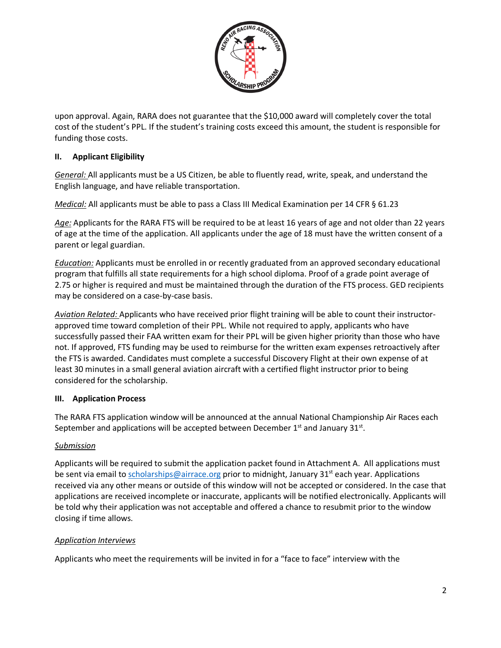

upon approval. Again, RARA does not guarantee that the \$10,000 award will completely cover the total cost of the student's PPL. If the student's training costs exceed this amount, the student is responsible for funding those costs.

## **II. Applicant Eligibility**

*General:* All applicants must be a US Citizen, be able to fluently read, write, speak, and understand the English language, and have reliable transportation.

*Medical:* All applicants must be able to pass a Class III Medical Examination per 14 CFR § 61.23

*Age:* Applicants for the RARA FTS will be required to be at least 16 years of age and not older than 22 years of age at the time of the application. All applicants under the age of 18 must have the written consent of a parent or legal guardian.

*Education:* Applicants must be enrolled in or recently graduated from an approved secondary educational program that fulfills all state requirements for a high school diploma. Proof of a grade point average of 2.75 or higher is required and must be maintained through the duration of the FTS process. GED recipients may be considered on a case-by-case basis.

*Aviation Related:* Applicants who have received prior flight training will be able to count their instructorapproved time toward completion of their PPL. While not required to apply, applicants who have successfully passed their FAA written exam for their PPL will be given higher priority than those who have not. If approved, FTS funding may be used to reimburse for the written exam expenses retroactively after the FTS is awarded. Candidates must complete a successful Discovery Flight at their own expense of at least 30 minutes in a small general aviation aircraft with a certified flight instructor prior to being considered for the scholarship.

#### **III. Application Process**

The RARA FTS application window will be announced at the annual National Championship Air Races each September and applications will be accepted between December  $1<sup>st</sup>$  and January 31 $<sup>st</sup>$ .</sup>

#### *Submission*

Applicants will be required to submit the application packet found in Attachment A. All applications must be sent via email to scholarships@airrace.org prior to midnight, January 31<sup>st</sup> each year. Applications received via any other means or outside of this window will not be accepted or considered. In the case that applications are received incomplete or inaccurate, applicants will be notified electronically. Applicants will be told why their application was not acceptable and offered a chance to resubmit prior to the window closing if time allows.

#### *Application Interviews*

Applicants who meet the requirements will be invited in for a "face to face" interview with the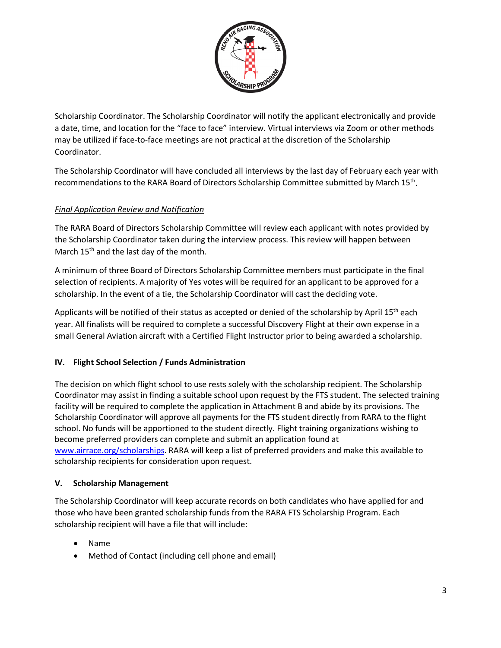

Scholarship Coordinator. The Scholarship Coordinator will notify the applicant electronically and provide a date, time, and location for the "face to face" interview. Virtual interviews via Zoom or other methods may be utilized if face-to-face meetings are not practical at the discretion of the Scholarship Coordinator.

The Scholarship Coordinator will have concluded all interviews by the last day of February each year with recommendations to the RARA Board of Directors Scholarship Committee submitted by March 15<sup>th</sup>.

## *Final Application Review and Notification*

The RARA Board of Directors Scholarship Committee will review each applicant with notes provided by the Scholarship Coordinator taken during the interview process. This review will happen between March 15<sup>th</sup> and the last day of the month.

A minimum of three Board of Directors Scholarship Committee members must participate in the final selection of recipients. A majority of Yes votes will be required for an applicant to be approved for a scholarship. In the event of a tie, the Scholarship Coordinator will cast the deciding vote.

Applicants will be notified of their status as accepted or denied of the scholarship by April 15<sup>th</sup> each year. All finalists will be required to complete a successful Discovery Flight at their own expense in a small General Aviation aircraft with a Certified Flight Instructor prior to being awarded a scholarship.

## **IV. Flight School Selection / Funds Administration**

The decision on which flight school to use rests solely with the scholarship recipient. The Scholarship Coordinator may assist in finding a suitable school upon request by the FTS student. The selected training facility will be required to complete the application in Attachment B and abide by its provisions. The Scholarship Coordinator will approve all payments for the FTS student directly from RARA to the flight school. No funds will be apportioned to the student directly. Flight training organizations wishing to become preferred providers can complete and submit an application found at [www.airrace.org/scholarships.](http://www.airrace.org/scholarships) RARA will keep a list of preferred providers and make this available to scholarship recipients for consideration upon request.

## **V. Scholarship Management**

The Scholarship Coordinator will keep accurate records on both candidates who have applied for and those who have been granted scholarship funds from the RARA FTS Scholarship Program. Each scholarship recipient will have a file that will include:

- Name
- Method of Contact (including cell phone and email)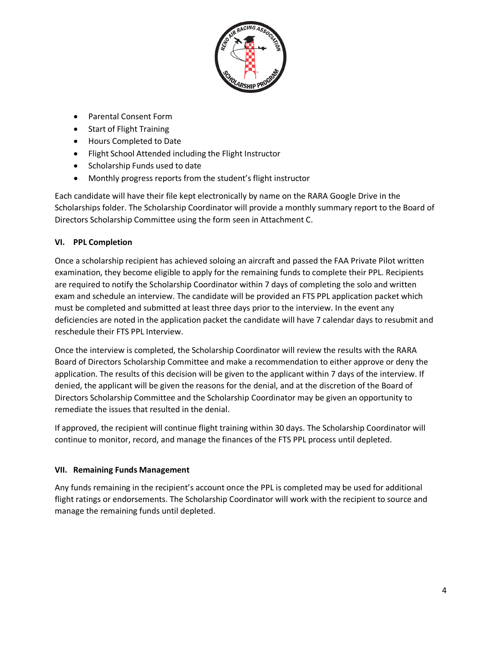

- Parental Consent Form
- Start of Flight Training
- Hours Completed to Date
- Flight School Attended including the Flight Instructor
- Scholarship Funds used to date
- Monthly progress reports from the student's flight instructor

Each candidate will have their file kept electronically by name on the RARA Google Drive in the Scholarships folder. The Scholarship Coordinator will provide a monthly summary report to the Board of Directors Scholarship Committee using the form seen in Attachment C.

## **VI. PPL Completion**

Once a scholarship recipient has achieved soloing an aircraft and passed the FAA Private Pilot written examination, they become eligible to apply for the remaining funds to complete their PPL. Recipients are required to notify the Scholarship Coordinator within 7 days of completing the solo and written exam and schedule an interview. The candidate will be provided an FTS PPL application packet which must be completed and submitted at least three days prior to the interview. In the event any deficiencies are noted in the application packet the candidate will have 7 calendar days to resubmit and reschedule their FTS PPL Interview.

Once the interview is completed, the Scholarship Coordinator will review the results with the RARA Board of Directors Scholarship Committee and make a recommendation to either approve or deny the application. The results of this decision will be given to the applicant within 7 days of the interview. If denied, the applicant will be given the reasons for the denial, and at the discretion of the Board of Directors Scholarship Committee and the Scholarship Coordinator may be given an opportunity to remediate the issues that resulted in the denial.

If approved, the recipient will continue flight training within 30 days. The Scholarship Coordinator will continue to monitor, record, and manage the finances of the FTS PPL process until depleted.

## **VII. Remaining Funds Management**

Any funds remaining in the recipient's account once the PPL is completed may be used for additional flight ratings or endorsements. The Scholarship Coordinator will work with the recipient to source and manage the remaining funds until depleted.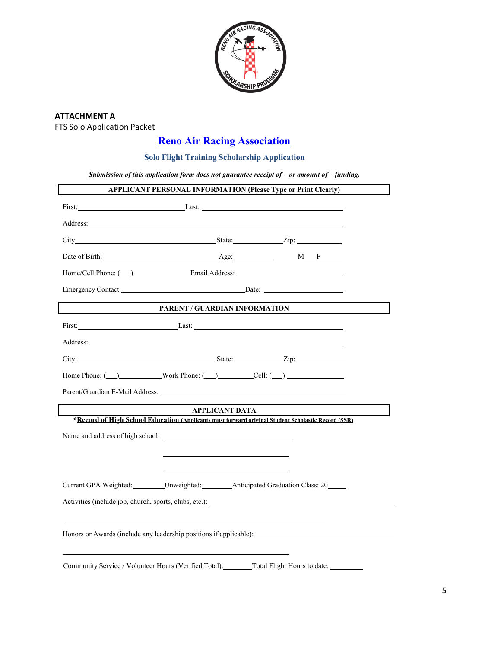

## **ATTACHMENT A** FTS Solo Application Packet

## **Reno Air Racing Association**

## **Solo Flight Training Scholarship Application**

*Submission of this application form does not guarantee receipt of – or amount of – funding.*

|                                                                                                                                                                                                                                     |                       | APPLICANT PERSONAL INFORMATION (Please Type or Print Clearly) |  |
|-------------------------------------------------------------------------------------------------------------------------------------------------------------------------------------------------------------------------------------|-----------------------|---------------------------------------------------------------|--|
| First: Last: Last: Last: Last: Last: Last: Last: Last: Last: Last: Last: Last: Last: Last: Last: Last: Last: Last: Last: Last: Last: Last: Last: Last: Last: Last: Last: Last: Last: Last: Last: Last: Last: Last: Last: Last:      |                       |                                                               |  |
|                                                                                                                                                                                                                                     |                       |                                                               |  |
|                                                                                                                                                                                                                                     |                       |                                                               |  |
| Date of Birth: Age: Age:                                                                                                                                                                                                            |                       | $M_F$ $-$                                                     |  |
|                                                                                                                                                                                                                                     |                       |                                                               |  |
| Emergency Contact: Date: Date: Date:                                                                                                                                                                                                |                       |                                                               |  |
|                                                                                                                                                                                                                                     |                       | PARENT / GUARDIAN INFORMATION                                 |  |
| First: Last: Last:                                                                                                                                                                                                                  |                       |                                                               |  |
| Address: <u>Address:</u> Address: Address: Address: Address: Address: Address: Address: Address: Address: Address: Address: Address: Address: Address: Address: Address: Address: Address: Address: Address: Address: Address: Addr |                       |                                                               |  |
| City: <u>City: Zip:</u>                                                                                                                                                                                                             |                       |                                                               |  |
| Home Phone: $\qquad \qquad$ Work Phone: $\qquad \qquad$ Cell: $\qquad \qquad$                                                                                                                                                       |                       |                                                               |  |
|                                                                                                                                                                                                                                     |                       |                                                               |  |
|                                                                                                                                                                                                                                     | <b>APPLICANT DATA</b> |                                                               |  |
| *Record of High School Education (Applicants must forward original Student Scholastic Record (SSR)                                                                                                                                  |                       |                                                               |  |
|                                                                                                                                                                                                                                     |                       |                                                               |  |
|                                                                                                                                                                                                                                     |                       |                                                               |  |
|                                                                                                                                                                                                                                     |                       |                                                               |  |
| Current GPA Weighted: Unweighted: Anticipated Graduation Class: 20                                                                                                                                                                  |                       |                                                               |  |
| Activities (include job, church, sports, clubs, etc.):                                                                                                                                                                              |                       |                                                               |  |
|                                                                                                                                                                                                                                     |                       |                                                               |  |
| Honors or Awards (include any leadership positions if applicable): _________________________________                                                                                                                                |                       |                                                               |  |
|                                                                                                                                                                                                                                     |                       |                                                               |  |
| Community Service / Volunteer Hours (Verified Total): Total Flight Hours to date: _______                                                                                                                                           |                       |                                                               |  |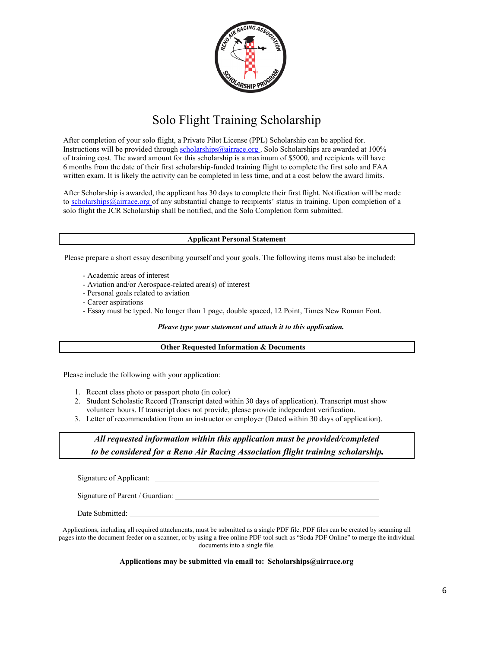

## Solo Flight Training Scholarship

After completion of your solo flight, a Private Pilot License (PPL) Scholarship can be applied for. Instructions will be provided through scholarships@airrace.org . Solo Scholarships are awarded at 100% of training cost. The award amount for this scholarship is a maximum of \$5000, and recipients will have 6 months from the date of their first scholarship-funded training flight to complete the first solo and FAA written exam. It is likely the activity can be completed in less time, and at a cost below the award limits.

After Scholarship is awarded, the applicant has 30 days to complete their first flight. Notification will be made to scholarships@airrace.org of any substantial change to recipients' status in training. Upon completion of a solo flight the JCR Scholarship shall be notified, and the Solo Completion form submitted.

#### **Applicant Personal Statement**

Please prepare a short essay describing yourself and your goals. The following items must also be included:

- Academic areas of interest
- Aviation and/or Aerospace-related area(s) of interest
- Personal goals related to aviation
- Career aspirations
- Essay must be typed. No longer than 1 page, double spaced, 12 Point, Times New Roman Font.

*Please type your statement and attach it to this application.*

#### **Other Requested Information & Documents**

Please include the following with your application:

- 1. Recent class photo or passport photo (in color)
- 2. Student Scholastic Record (Transcript dated within 30 days of application). Transcript must show volunteer hours. If transcript does not provide, please provide independent verification.
- 3. Letter of recommendation from an instructor or employer (Dated within 30 days of application).

## *All requested information within this application must be provided/completed to be considered for a Reno Air Racing Association flight training scholarship.*

Signature of Applicant:

Signature of Parent / Guardian: University of Parent / Guardian:

Date Submitted:

Applications, including all required attachments, must be submitted as a single PDF file. PDF files can be created by scanning all pages into the document feeder on a scanner, or by using a free online PDF tool such as "Soda PDF Online" to merge the individual documents into a single file.

**Applications may be submitted via email to: Scholarships@airrace.org**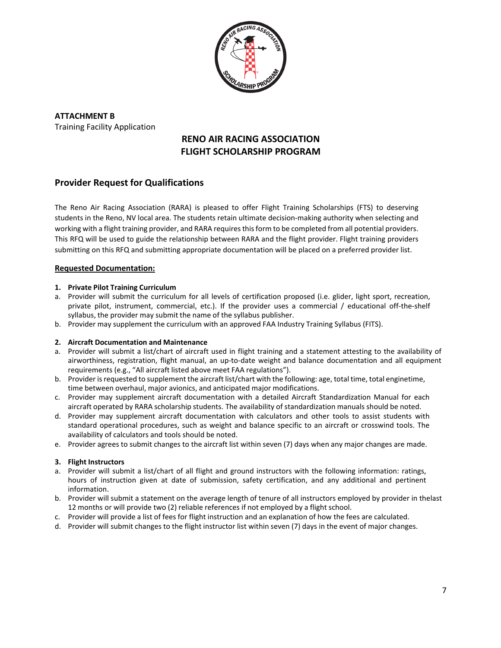

**ATTACHMENT B** Training Facility Application

## **RENO AIR RACING ASSOCIATION FLIGHT SCHOLARSHIP PROGRAM**

## **Provider Request for Qualifications**

The Reno Air Racing Association (RARA) is pleased to offer Flight Training Scholarships (FTS) to deserving students in the Reno, NV local area. The students retain ultimate decision-making authority when selecting and working with a flight training provider, and RARA requires this form to be completed from all potential providers. This RFQ will be used to guide the relationship between RARA and the flight provider. Flight training providers submitting on this RFQ and submitting appropriate documentation will be placed on a preferred provider list.

#### **Requested Documentation:**

#### **1. Private Pilot Training Curriculum**

- a. Provider will submit the curriculum for all levels of certification proposed (i.e. glider, light sport, recreation, private pilot, instrument, commercial, etc.). If the provider uses a commercial / educational off-the-shelf syllabus, the provider may submit the name of the syllabus publisher.
- b. Provider may supplement the curriculum with an approved FAA Industry Training Syllabus (FITS).

#### **2. Aircraft Documentation and Maintenance**

- a. Provider will submit a list/chart of aircraft used in flight training and a statement attesting to the availability of airworthiness, registration, flight manual, an up-to-date weight and balance documentation and all equipment requirements (e.g., "All aircraft listed above meet FAA regulations").
- b. Provider is requested to supplement the aircraft list/chart with the following: age, total time, total enginetime, time between overhaul, major avionics, and anticipated major modifications.
- c. Provider may supplement aircraft documentation with a detailed Aircraft Standardization Manual for each aircraft operated by RARA scholarship students. The availability of standardization manuals should be noted.
- d. Provider may supplement aircraft documentation with calculators and other tools to assist students with standard operational procedures, such as weight and balance specific to an aircraft or crosswind tools. The availability of calculators and tools should be noted.
- e. Provider agrees to submit changes to the aircraft list within seven (7) days when any major changes are made.

#### **3. Flight Instructors**

- a. Provider will submit a list/chart of all flight and ground instructors with the following information: ratings, hours of instruction given at date of submission, safety certification, and any additional and pertinent information.
- b. Provider will submit a statement on the average length of tenure of all instructors employed by provider in thelast 12 months or will provide two (2) reliable references if not employed by a flight school.
- c. Provider will provide a list of fees for flight instruction and an explanation of how the fees are calculated.
- d. Provider will submit changes to the flight instructor list within seven (7) days in the event of major changes.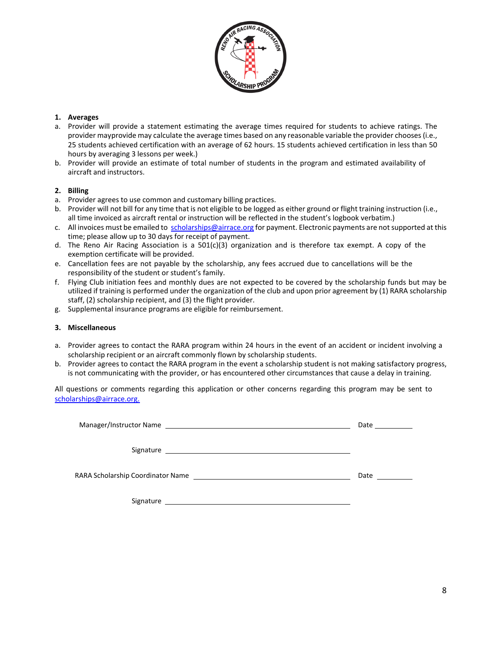

#### **1. Averages**

- a. Provider will provide a statement estimating the average times required for students to achieve ratings. The provider mayprovide may calculate the average times based on any reasonable variable the provider chooses (i.e., 25 students achieved certification with an average of 62 hours. 15 students achieved certification in less than 50 hours by averaging 3 lessons per week.)
- b. Provider will provide an estimate of total number of students in the program and estimated availability of aircraft and instructors.

#### **2. Billing**

- a. Provider agrees to use common and customary billing practices.
- b. Provider will not bill for any time that is not eligible to be logged as either ground or flight training instruction (i.e., all time invoiced as aircraft rental or instruction will be reflected in the student's logbook verbatim.)
- c. All invoices must be emailed to scholarships@airrace.org for payment. Electronic payments are not supported at this time; please allow up to 30 days for receipt of payment.
- d. The Reno Air Racing Association is a  $501(c)(3)$  organization and is therefore tax exempt. A copy of the exemption certificate will be provided.
- e. Cancellation fees are not payable by the scholarship, any fees accrued due to cancellations will be the responsibility of the student or student's family.
- f. Flying Club initiation fees and monthly dues are not expected to be covered by the scholarship funds but may be utilized if training is performed under the organization of the club and upon prior agreement by (1) RARA scholarship staff, (2) scholarship recipient, and (3) the flight provider.
- g. Supplemental insurance programs are eligible for reimbursement.

#### **3. Miscellaneous**

- a. Provider agrees to contact the RARA program within 24 hours in the event of an accident or incident involving a scholarship recipient or an aircraft commonly flown by scholarship students.
- b. Provider agrees to contact the RARA program in the event a scholarship student is not making satisfactory progress, is not communicating with the provider, or has encountered other circumstances that cause a delay in training.

All questions or comments regarding this application or other concerns regarding this program may be sent to scholarships@airrace.org.

|                                                                                                                | Date ________                                                                                                                                                                                                                       |
|----------------------------------------------------------------------------------------------------------------|-------------------------------------------------------------------------------------------------------------------------------------------------------------------------------------------------------------------------------------|
|                                                                                                                |                                                                                                                                                                                                                                     |
| RARA Scholarship Coordinator Name [1986] [1988] [1988] [1988] [1988] [1988] [1988] [1988] [1988] [1989] [1989] | <b>Date</b> and the set of the set of the set of the set of the set of the set of the set of the set of the set of the set of the set of the set of the set of the set of the set of the set of the set of the set of the set of th |
| Signature                                                                                                      |                                                                                                                                                                                                                                     |